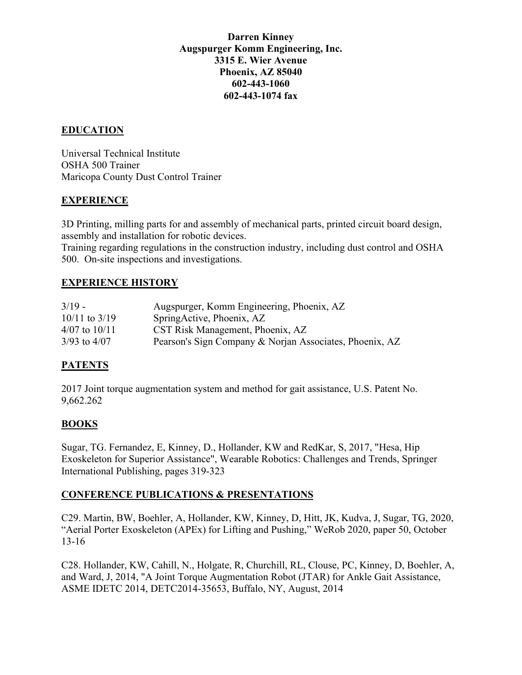#### **Darren Kinney Augspurger Komm Engineering, Inc. 3315 E. Wier Avenue Phoenix, AZ 85040 602-443-1060 602-443-1074 fax**

## **EDUCATION**

Universal Technical Institute OSHA 500 Trainer Maricopa County Dust Control Trainer

### **EXPERIENCE**

3D Printing, milling parts for and assembly of mechanical parts, printed circuit board design, assembly and installation for robotic devices. Training regarding regulations in the construction industry, including dust control and OSHA 500. On-site inspections and investigations.

### **EXPERIENCE HISTORY**

| $3/19 -$          | Augspurger, Komm Engineering, Phoenix, AZ               |
|-------------------|---------------------------------------------------------|
| $10/11$ to $3/19$ | SpringActive, Phoenix, AZ                               |
| $4/07$ to $10/11$ | CST Risk Management, Phoenix, AZ                        |
| $3/93$ to $4/07$  | Pearson's Sign Company & Norjan Associates, Phoenix, AZ |

### **PATENTS**

2017 Joint torque augmentation system and method for gait assistance, U.S. Patent No. 9,662.262

### **BOOKS**

Sugar, TG. Fernandez, E, Kinney, D., Hollander, KW and RedKar, S, 2017, "Hesa, Hip Exoskeleton for Superior Assistance", Wearable Robotics: Challenges and Trends, Springer International Publishing, pages 319-323

### **CONFERENCE PUBLICATIONS & PRESENTATIONS**

C29. Martin, BW, Boehler, A, Hollander, KW, Kinney, D, Hitt, JK, Kudva, J, Sugar, TG, 2020, "Aerial Porter Exoskeleton (APEx) for Lifting and Pushing," WeRob 2020, paper 50, October 13-16

C28. Hollander, KW, Cahill, N., Holgate, R, Churchill, RL, Clouse, PC, Kinney, D, Boehler, A, and Ward, J, 2014, "A Joint Torque Augmentation Robot (JTAR) for Ankle Gait Assistance, ASME IDETC 2014, DETC2014-35653, Buffalo, NY, August, 2014